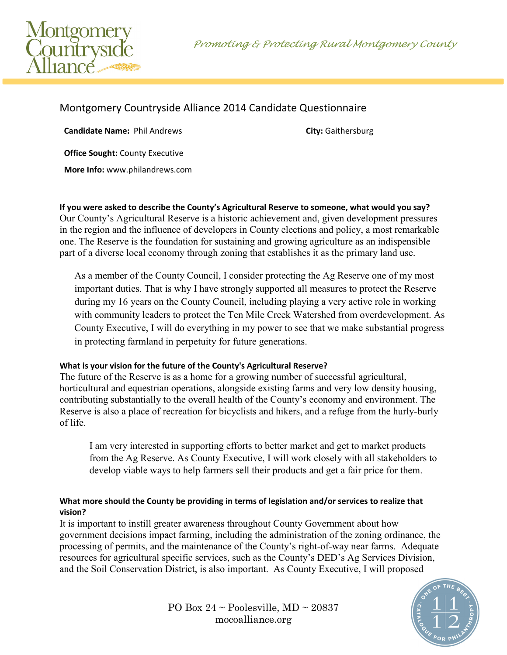Promoting & Protecting Rural Montgomery County



# Montgomery Countryside Alliance 2014 Candidate Questionnaire

**Candidate Name:** Phil Andrews **City:** Gaithersburg **City:** Gaithersburg

**Office Sought:** County Executive

**More Info:** www.philandrews.com

**If you were asked to describe the County's Agricultural Reserve to someone, what would you say?** Our County's Agricultural Reserve is a historic achievement and, given development pressures in the region and the influence of developers in County elections and policy, a most remarkable one. The Reserve is the foundation for sustaining and growing agriculture as an indispensible part of a diverse local economy through zoning that establishes it as the primary land use.

As a member of the County Council, I consider protecting the Ag Reserve one of my most important duties. That is why I have strongly supported all measures to protect the Reserve during my 16 years on the County Council, including playing a very active role in working with community leaders to protect the Ten Mile Creek Watershed from overdevelopment. As County Executive, I will do everything in my power to see that we make substantial progress in protecting farmland in perpetuity for future generations.

## **What is your vision for the future of the County's Agricultural Reserve?**

The future of the Reserve is as a home for a growing number of successful agricultural, horticultural and equestrian operations, alongside existing farms and very low density housing, contributing substantially to the overall health of the County's economy and environment. The Reserve is also a place of recreation for bicyclists and hikers, and a refuge from the hurly-burly of life.

I am very interested in supporting efforts to better market and get to market products from the Ag Reserve. As County Executive, I will work closely with all stakeholders to develop viable ways to help farmers sell their products and get a fair price for them.

## **What more should the County be providing in terms of legislation and/or services to realize that vision?**

It is important to instill greater awareness throughout County Government about how government decisions impact farming, including the administration of the zoning ordinance, the processing of permits, and the maintenance of the County's right-of-way near farms. Adequate resources for agricultural specific services, such as the County's DED's Ag Services Division, and the Soil Conservation District, is also important. As County Executive, I will proposed

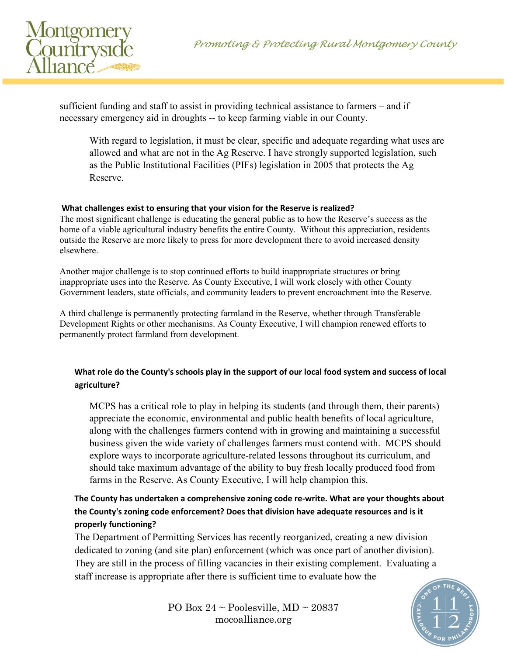

sufficient funding and staff to assist in providing technical assistance to farmers – and if necessary emergency aid in droughts -- to keep farming viable in our County.

With regard to legislation, it must be clear, specific and adequate regarding what uses are allowed and what are not in the Ag Reserve. I have strongly supported legislation, such as the Public Institutional Facilities (PIFs) legislation in 2005 that protects the Ag Reserve.

#### **What challenges exist to ensuring that your vision for the Reserve is realized?**

The most significant challenge is educating the general public as to how the Reserve's success as the home of a viable agricultural industry benefits the entire County. Without this appreciation, residents outside the Reserve are more likely to press for more development there to avoid increased density elsewhere.

Another major challenge is to stop continued efforts to build inappropriate structures or bring inappropriate uses into the Reserve. As County Executive, I will work closely with other County Government leaders, state officials, and community leaders to prevent encroachment into the Reserve.

A third challenge is permanently protecting farmland in the Reserve, whether through Transferable Development Rights or other mechanisms. As County Executive, I will champion renewed efforts to permanently protect farmland from development.

## **What role do the County's schools play in the support of our local food system and success of local agriculture?**

MCPS has a critical role to play in helping its students (and through them, their parents) appreciate the economic, environmental and public health benefits of local agriculture, along with the challenges farmers contend with in growing and maintaining a successful business given the wide variety of challenges farmers must contend with. MCPS should explore ways to incorporate agriculture-related lessons throughout its curriculum, and should take maximum advantage of the ability to buy fresh locally produced food from farms in the Reserve. As County Executive, I will help champion this.

## **The County has undertaken a comprehensive zoning code re-write. What are your thoughts about the County's zoning code enforcement? Does that division have adequate resources and is it properly functioning?**

The Department of Permitting Services has recently reorganized, creating a new division dedicated to zoning (and site plan) enforcement (which was once part of another division). They are still in the process of filling vacancies in their existing complement. Evaluating a staff increase is appropriate after there is sufficient time to evaluate how the



PO Box  $24 \sim$  Poolesville, MD  $\sim$  20837 mocoalliance.org